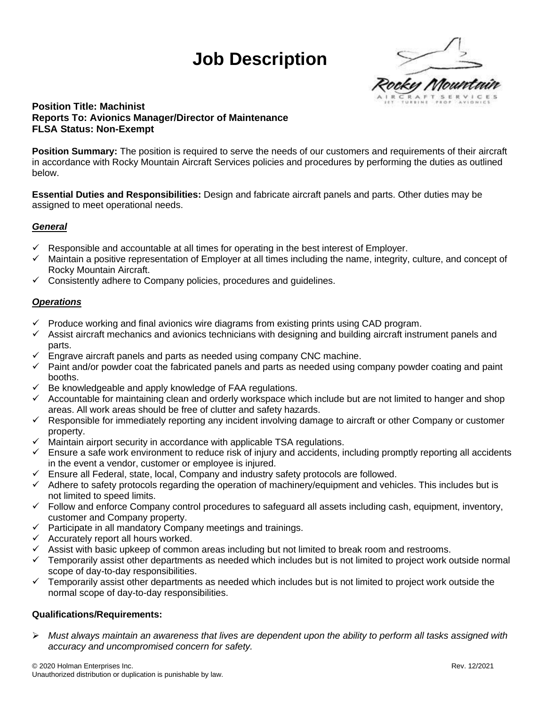# **Job Description**



## **Position Title: Machinist Reports To: Avionics Manager/Director of Maintenance FLSA Status: Non-Exempt**

**Position Summary:** The position is required to serve the needs of our customers and requirements of their aircraft in accordance with Rocky Mountain Aircraft Services policies and procedures by performing the duties as outlined below.

**Essential Duties and Responsibilities:** Design and fabricate aircraft panels and parts. Other duties may be assigned to meet operational needs.

#### *General*

- $\checkmark$  Responsible and accountable at all times for operating in the best interest of Employer.
- $\checkmark$  Maintain a positive representation of Employer at all times including the name, integrity, culture, and concept of Rocky Mountain Aircraft.
- $\checkmark$  Consistently adhere to Company policies, procedures and guidelines.

#### *Operations*

- $\checkmark$  Produce working and final avionics wire diagrams from existing prints using CAD program.
- $\checkmark$  Assist aircraft mechanics and avionics technicians with designing and building aircraft instrument panels and parts.
- Engrave aircraft panels and parts as needed using company CNC machine.
- ✓ Paint and/or powder coat the fabricated panels and parts as needed using company powder coating and paint booths.
- $\checkmark$  Be knowledgeable and apply knowledge of FAA regulations.
- $\checkmark$  Accountable for maintaining clean and orderly workspace which include but are not limited to hanger and shop areas. All work areas should be free of clutter and safety hazards.
- ✓ Responsible for immediately reporting any incident involving damage to aircraft or other Company or customer property.
- $\checkmark$  Maintain airport security in accordance with applicable TSA regulations.
- $\checkmark$  Ensure a safe work environment to reduce risk of injury and accidents, including promptly reporting all accidents in the event a vendor, customer or employee is injured.
- $\checkmark$  Ensure all Federal, state, local, Company and industry safety protocols are followed.
- $\checkmark$  Adhere to safety protocols regarding the operation of machinery/equipment and vehicles. This includes but is not limited to speed limits.
- $\checkmark$  Follow and enforce Company control procedures to safeguard all assets including cash, equipment, inventory, customer and Company property.
- $\checkmark$  Participate in all mandatory Company meetings and trainings.
- $\checkmark$  Accurately report all hours worked.
- $\checkmark$  Assist with basic upkeep of common areas including but not limited to break room and restrooms.
- $\checkmark$  Temporarily assist other departments as needed which includes but is not limited to project work outside normal scope of day-to-day responsibilities.
- $\checkmark$  Temporarily assist other departments as needed which includes but is not limited to project work outside the normal scope of day-to-day responsibilities.

#### **Qualifications/Requirements:**

➢ *Must always maintain an awareness that lives are dependent upon the ability to perform all tasks assigned with accuracy and uncompromised concern for safety.*